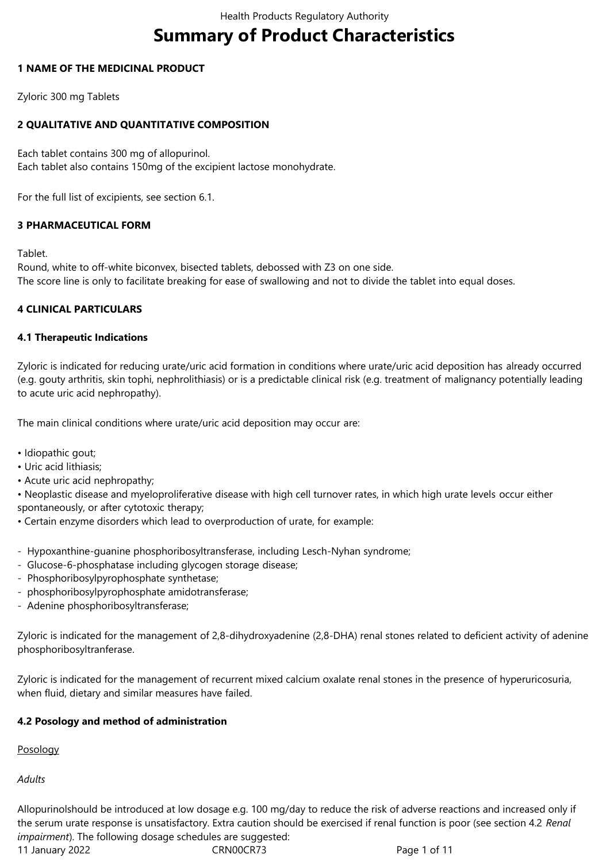# **Summary of Product Characteristics**

## **1 NAME OF THE MEDICINAL PRODUCT**

Zyloric 300 mg Tablets

# **2 QUALITATIVE AND QUANTITATIVE COMPOSITION**

Each tablet contains 300 mg of allopurinol. Each tablet also contains 150mg of the excipient lactose monohydrate.

For the full list of excipients, see section 6.1.

# **3 PHARMACEUTICAL FORM**

Tablet.

Round, white to off-white biconvex, bisected tablets, debossed with Z3 on one side. The score line is only to facilitate breaking for ease of swallowing and not to divide the tablet into equal doses.

# **4 CLINICAL PARTICULARS**

## **4.1 Therapeutic Indications**

Zyloric is indicated for reducing urate/uric acid formation in conditions where urate/uric acid deposition has already occurred (e.g. gouty arthritis, skin tophi, nephrolithiasis) or is a predictable clinical risk (e.g. treatment of malignancy potentially leading to acute uric acid nephropathy).

The main clinical conditions where urate/uric acid deposition may occur are:

- Idiopathic gout;
- Uric acid lithiasis;
- Acute uric acid nephropathy;

• Neoplastic disease and myeloproliferative disease with high cell turnover rates, in which high urate levels occur either spontaneously, or after cytotoxic therapy;

- Certain enzyme disorders which lead to overproduction of urate, for example:
- Hypoxanthine-guanine phosphoribosyltransferase, including Lesch-Nyhan syndrome;
- Glucose-6-phosphatase including glycogen storage disease;
- Phosphoribosylpyrophosphate synthetase;
- phosphoribosylpyrophosphate amidotransferase;
- Adenine phosphoribosyltransferase;

Zyloric is indicated for the management of 2,8-dihydroxyadenine (2,8-DHA) renal stones related to deficient activity of adenine phosphoribosyltranferase.

Zyloric is indicated for the management of recurrent mixed calcium oxalate renal stones in the presence of hyperuricosuria, when fluid, dietary and similar measures have failed.

# **4.2 Posology and method of administration**

Posology

*Adults*

Allopurinolshould be introduced at low dosage e.g. 100 mg/day to reduce the risk of adverse reactions and increased only if the serum urate response is unsatisfactory. Extra caution should be exercised if renal function is poor (see section 4.2 *Renal impairment*). The following dosage schedules are suggested: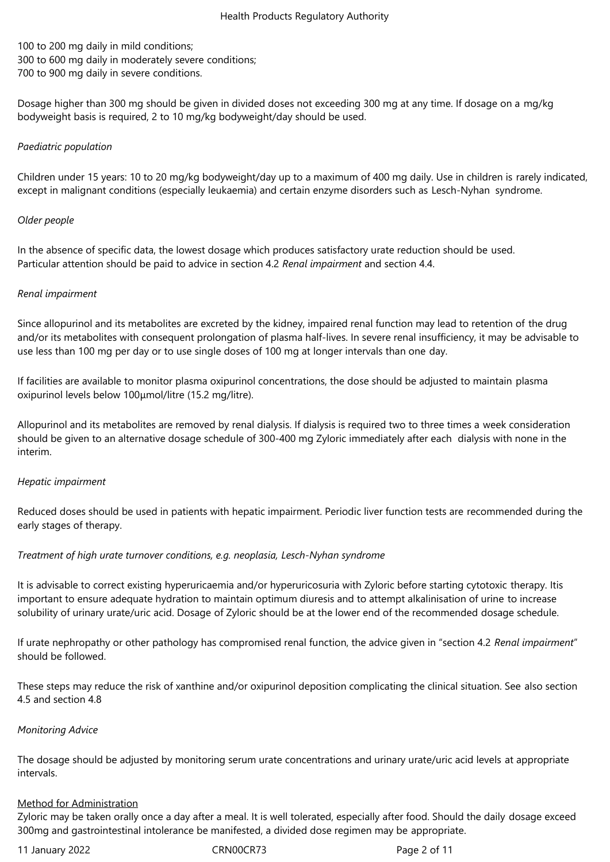100 to 200 mg daily in mild conditions; 300 to 600 mg daily in moderately severe conditions; 700 to 900 mg daily in severe conditions.

Dosage higher than 300 mg should be given in divided doses not exceeding 300 mg at any time. If dosage on a mg/kg bodyweight basis is required, 2 to 10 mg/kg bodyweight/day should be used.

#### *Paediatric population*

Children under 15 years: 10 to 20 mg/kg bodyweight/day up to a maximum of 400 mg daily. Use in children is rarely indicated, except in malignant conditions (especially leukaemia) and certain enzyme disorders such as Lesch-Nyhan syndrome.

#### *Older people*

In the absence of specific data, the lowest dosage which produces satisfactory urate reduction should be used. Particular attention should be paid to advice in section 4.2 *Renal impairment* and section 4.4.

#### *Renal impairment*

Since allopurinol and its metabolites are excreted by the kidney, impaired renal function may lead to retention of the drug and/or its metabolites with consequent prolongation of plasma half-lives. In severe renal insufficiency, it may be advisable to use less than 100 mg per day or to use single doses of 100 mg at longer intervals than one day.

If facilities are available to monitor plasma oxipurinol concentrations, the dose should be adjusted to maintain plasma oxipurinol levels below 100μmol/litre (15.2 mg/litre).

Allopurinol and its metabolites are removed by renal dialysis. If dialysis is required two to three times a week consideration should be given to an alternative dosage schedule of 300‑400 mg Zyloric immediately after each dialysis with none in the interim.

#### *Hepatic impairment*

Reduced doses should be used in patients with hepatic impairment. Periodic liver function tests are recommended during the early stages of therapy.

#### *Treatment of high urate turnover conditions, e.g. neoplasia, Lesch‑Nyhan syndrome*

It is advisable to correct existing hyperuricaemia and/or hyperuricosuria with Zyloric before starting cytotoxic therapy. Itis important to ensure adequate hydration to maintain optimum diuresis and to attempt alkalinisation of urine to increase solubility of urinary urate/uric acid. Dosage of Zyloric should be at the lower end of the recommended dosage schedule.

If urate nephropathy or other pathology has compromised renal function, the advice given in "section 4.2 *Renal impairment*" should be followed.

These steps may reduce the risk of xanthine and/or oxipurinol deposition complicating the clinical situation. See also section 4.5 and section 4.8

#### *Monitoring Advice*

The dosage should be adjusted by monitoring serum urate concentrations and urinary urate/uric acid levels at appropriate intervals.

#### Method for Administration

Zyloric may be taken orally once a day after a meal. It is well tolerated, especially after food. Should the daily dosage exceed 300mg and gastrointestinal intolerance be manifested, a divided dose regimen may be appropriate.

11 January 2022 CRN00CR73 Page 2 of 11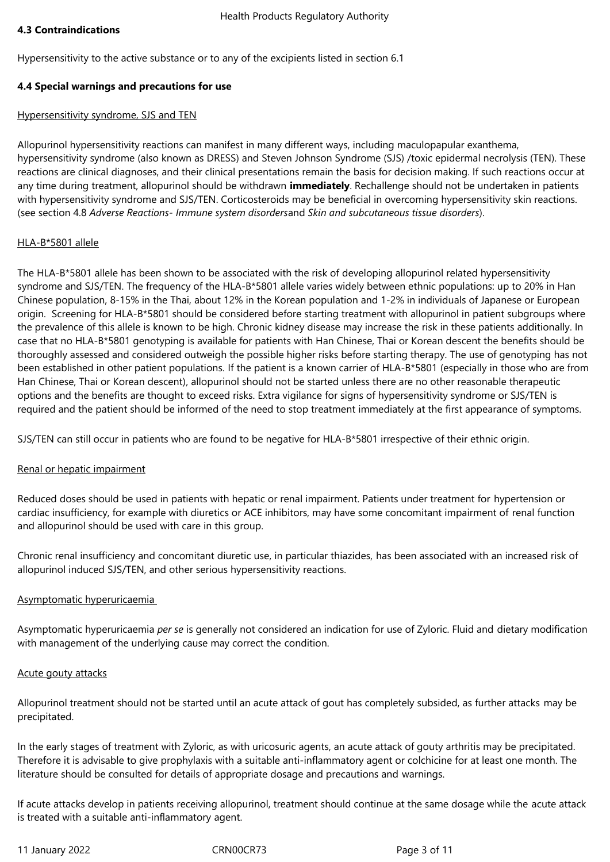## **4.3 Contraindications**

Hypersensitivity to the active substance or to any of the excipients listed in section 6.1

## **4.4 Special warnings and precautions for use**

#### Hypersensitivity syndrome, SJS and TEN

Allopurinol hypersensitivity reactions can manifest in many different ways, including maculopapular exanthema, hypersensitivity syndrome (also known as DRESS) and Steven Johnson Syndrome (SJS) /toxic epidermal necrolysis (TEN). These reactions are clinical diagnoses, and their clinical presentations remain the basis for decision making. If such reactions occur at any time during treatment, allopurinol should be withdrawn **immediately**. Rechallenge should not be undertaken in patients with hypersensitivity syndrome and SJS/TEN. Corticosteroids may be beneficial in overcoming hypersensitivity skin reactions. (see section 4.8 *Adverse Reactions- Immune system disorders*and *Skin and subcutaneous tissue disorders*).

## HLA-B\*5801 allele

The HLA-B\*5801 allele has been shown to be associated with the risk of developing allopurinol related hypersensitivity syndrome and SJS/TEN. The frequency of the HLA-B\*5801 allele varies widely between ethnic populations: up to 20% in Han Chinese population, 8-15% in the Thai, about 12% in the Korean population and 1-2% in individuals of Japanese or European origin. Screening for HLA-B\*5801 should be considered before starting treatment with allopurinol in patient subgroups where the prevalence of this allele is known to be high. Chronic kidney disease may increase the risk in these patients additionally. In case that no HLA-B\*5801 genotyping is available for patients with Han Chinese, Thai or Korean descent the benefits should be thoroughly assessed and considered outweigh the possible higher risks before starting therapy. The use of genotyping has not been established in other patient populations. If the patient is a known carrier of HLA-B\*5801 (especially in those who are from Han Chinese, Thai or Korean descent), allopurinol should not be started unless there are no other reasonable therapeutic options and the benefits are thought to exceed risks. Extra vigilance for signs of hypersensitivity syndrome or SJS/TEN is required and the patient should be informed of the need to stop treatment immediately at the first appearance of symptoms.

SJS/TEN can still occur in patients who are found to be negative for HLA-B\*5801 irrespective of their ethnic origin.

# Renal or hepatic impairment

Reduced doses should be used in patients with hepatic or renal impairment. Patients under treatment for hypertension or cardiac insufficiency, for example with diuretics or ACE inhibitors, may have some concomitant impairment of renal function and allopurinol should be used with care in this group.

Chronic renal insufficiency and concomitant diuretic use, in particular thiazides, has been associated with an increased risk of allopurinol induced SJS/TEN, and other serious hypersensitivity reactions.

#### Asymptomatic hyperuricaemia

Asymptomatic hyperuricaemia *per se* is generally not considered an indication for use of Zyloric. Fluid and dietary modification with management of the underlying cause may correct the condition.

#### Acute gouty attacks

Allopurinol treatment should not be started until an acute attack of gout has completely subsided, as further attacks may be precipitated.

In the early stages of treatment with Zyloric, as with uricosuric agents, an acute attack of gouty arthritis may be precipitated. Therefore it is advisable to give prophylaxis with a suitable anti-inflammatory agent or colchicine for at least one month. The literature should be consulted for details of appropriate dosage and precautions and warnings.

If acute attacks develop in patients receiving allopurinol, treatment should continue at the same dosage while the acute attack is treated with a suitable anti-inflammatory agent.

11 January 2022 CRN00CR73 Page 3 of 11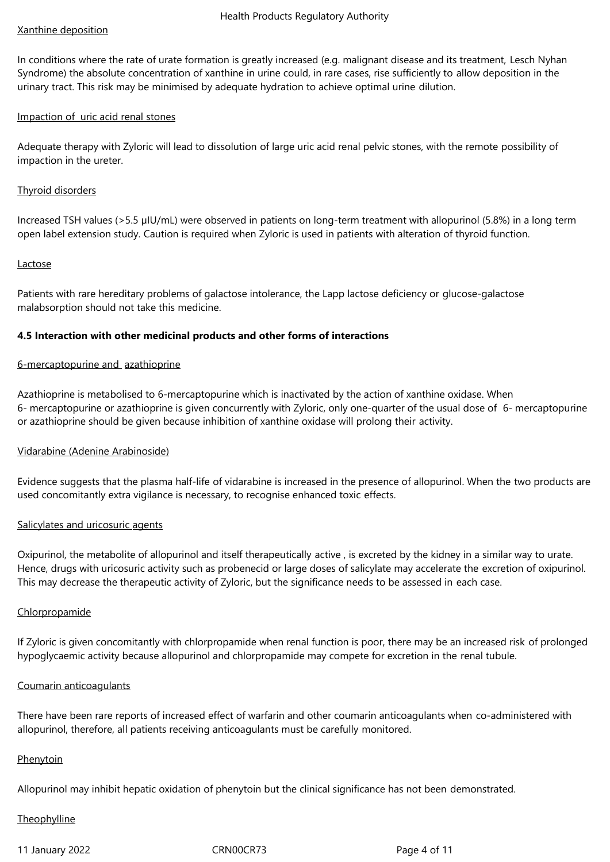#### Xanthine deposition

In conditions where the rate of urate formation is greatly increased (e.g. malignant disease and its treatment, Lesch Nyhan Syndrome) the absolute concentration of xanthine in urine could, in rare cases, rise sufficiently to allow deposition in the urinary tract. This risk may be minimised by adequate hydration to achieve optimal urine dilution.

## Impaction of uric acid renal stones

Adequate therapy with Zyloric will lead to dissolution of large uric acid renal pelvic stones, with the remote possibility of impaction in the ureter.

#### Thyroid disorders

Increased TSH values (>5.5 µIU/mL) were observed in patients on long-term treatment with allopurinol (5.8%) in a long term open label extension study. Caution is required when Zyloric is used in patients with alteration of thyroid function.

#### Lactose

Patients with rare hereditary problems of galactose intolerance, the Lapp lactose deficiency or glucose-galactose malabsorption should not take this medicine.

## **4.5 Interaction with other medicinal products and other forms of interactions**

#### 6‑mercaptopurine and azathioprine

Azathioprine is metabolised to 6‑mercaptopurine which is inactivated by the action of xanthine oxidase. When 6‑ mercaptopurine or azathioprine is given concurrently with Zyloric, only one‑quarter of the usual dose of 6‑ mercaptopurine or azathioprine should be given because inhibition of xanthine oxidase will prolong their activity.

# Vidarabine (Adenine Arabinoside)

Evidence suggests that the plasma half-life of vidarabine is increased in the presence of allopurinol. When the two products are used concomitantly extra vigilance is necessary, to recognise enhanced toxic effects.

#### Salicylates and uricosuric agents

Oxipurinol, the metabolite of allopurinol and itself therapeutically active , is excreted by the kidney in a similar way to urate. Hence, drugs with uricosuric activity such as probenecid or large doses of salicylate may accelerate the excretion of oxipurinol. This may decrease the therapeutic activity of Zyloric, but the significance needs to be assessed in each case.

#### Chlorpropamide

If Zyloric is given concomitantly with chlorpropamide when renal function is poor, there may be an increased risk of prolonged hypoglycaemic activity because allopurinol and chlorpropamide may compete for excretion in the renal tubule.

#### Coumarin anticoagulants

There have been rare reports of increased effect of warfarin and other coumarin anticoagulants when co-administered with allopurinol, therefore, all patients receiving anticoagulants must be carefully monitored.

#### **Phenytoin**

Allopurinol may inhibit hepatic oxidation of phenytoin but the clinical significance has not been demonstrated.

#### **Theophylline**

11 January 2022 CRN00CR73 Page 4 of 11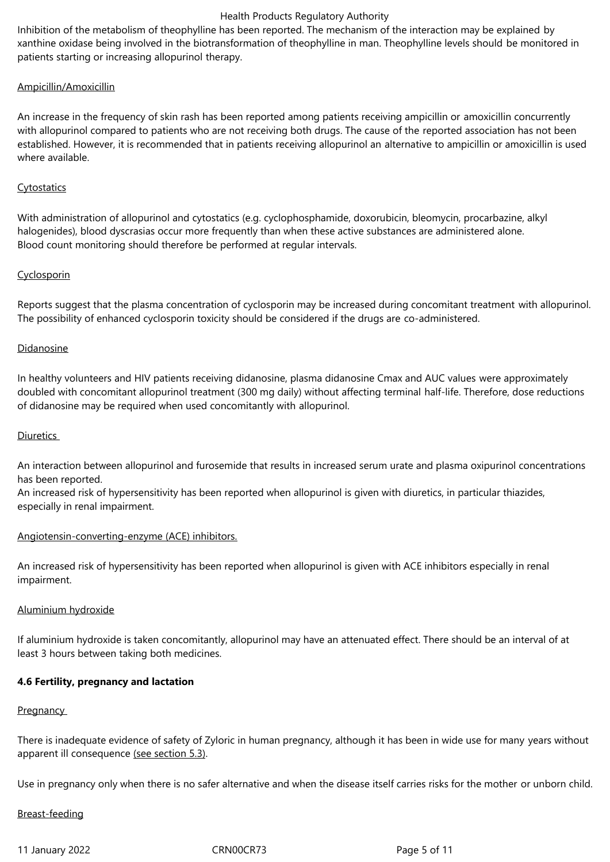Inhibition of the metabolism of theophylline has been reported. The mechanism of the interaction may be explained by xanthine oxidase being involved in the biotransformation of theophylline in man. Theophylline levels should be monitored in patients starting or increasing allopurinol therapy.

## Ampicillin/Amoxicillin

An increase in the frequency of skin rash has been reported among patients receiving ampicillin or amoxicillin concurrently with allopurinol compared to patients who are not receiving both drugs. The cause of the reported association has not been established. However, it is recommended that in patients receiving allopurinol an alternative to ampicillin or amoxicillin is used where available.

## Cytostatics

With administration of allopurinol and cytostatics (e.g. cyclophosphamide, doxorubicin, bleomycin, procarbazine, alkyl halogenides), blood dyscrasias occur more frequently than when these active substances are administered alone. Blood count monitoring should therefore be performed at regular intervals.

## Cyclosporin

Reports suggest that the plasma concentration of cyclosporin may be increased during concomitant treatment with allopurinol. The possibility of enhanced cyclosporin toxicity should be considered if the drugs are co-administered.

## Didanosine

In healthy volunteers and HIV patients receiving didanosine, plasma didanosine Cmax and AUC values were approximately doubled with concomitant allopurinol treatment (300 mg daily) without affecting terminal half-life. Therefore, dose reductions of didanosine may be required when used concomitantly with allopurinol.

#### Diuretics

An interaction between allopurinol and furosemide that results in increased serum urate and plasma oxipurinol concentrations has been reported.

An increased risk of hypersensitivity has been reported when allopurinol is given with diuretics, in particular thiazides, especially in renal impairment.

#### Angiotensin-converting-enzyme (ACE) inhibitors.

An increased risk of hypersensitivity has been reported when allopurinol is given with ACE inhibitors especially in renal impairment.

#### Aluminium hydroxide

If aluminium hydroxide is taken concomitantly, allopurinol may have an attenuated effect. There should be an interval of at least 3 hours between taking both medicines.

# **4.6 Fertility, pregnancy and lactation**

#### **Pregnancy**

There is inadequate evidence of safety of Zyloric in human pregnancy, although it has been in wide use for many years without apparent ill consequence (see section 5.3).

Use in pregnancy only when there is no safer alternative and when the disease itself carries risks for the mother or unborn child.

#### Breast‑feeding

11 January 2022 CRN00CR73 Page 5 of 11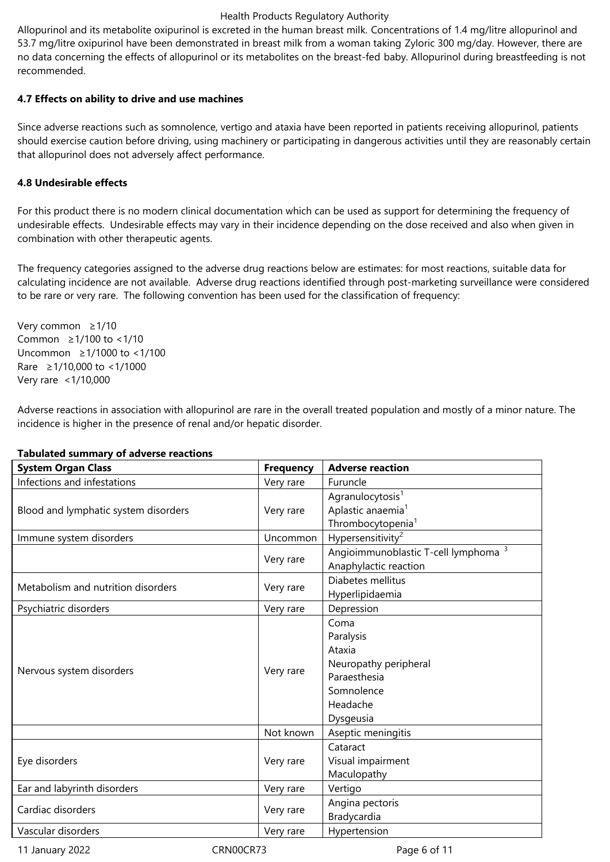Allopurinol and its metabolite oxipurinol is excreted in the human breast milk. Concentrations of 1.4 mg/litre allopurinol and 53.7 mg/litre oxipurinol have been demonstrated in breast milk from a woman taking Zyloric 300 mg/day. However, there are no data concerning the effects of allopurinol or its metabolites on the breast-fed baby. Allopurinol during breastfeeding is not recommended.

## **4.7 Effects on ability to drive and use machines**

Since adverse reactions such as somnolence, vertigo and ataxia have been reported in patients receiving allopurinol, patients should exercise caution before driving, using machinery or participating in dangerous activities until they are reasonably certain that allopurinol does not adversely affect performance.

## **4.8 Undesirable effects**

For this product there is no modern clinical documentation which can be used as support for determining the frequency of undesirable effects. Undesirable effects may vary in their incidence depending on the dose received and also when given in combination with other therapeutic agents.

The frequency categories assigned to the adverse drug reactions below are estimates: for most reactions, suitable data for calculating incidence are not available. Adverse drug reactions identified through post-marketing surveillance were considered to be rare or very rare. The following convention has been used for the classification of frequency:

Very common  $\geq 1/10$ Common  $\geq 1/100$  to <1/10 Uncommon ≥1/1000 to <1/100 Rare ≥1/10,000 to <1/1000 Very rare <1/10,000

Adverse reactions in association with allopurinol are rare in the overall treated population and mostly of a minor nature. The incidence is higher in the presence of renal and/or hepatic disorder.

| <b>System Organ Class</b>            | <b>Frequency</b> | <b>Adverse reaction</b>                                                                                     |
|--------------------------------------|------------------|-------------------------------------------------------------------------------------------------------------|
| Infections and infestations          | Very rare        | Furuncle                                                                                                    |
| Blood and lymphatic system disorders | Very rare        | Agranulocytosis <sup>1</sup><br>Aplastic anaemia <sup>1</sup><br>Thrombocytopenia <sup>1</sup>              |
| Immune system disorders              | Uncommon         | Hypersensitivity <sup>2</sup>                                                                               |
|                                      | Very rare        | Angioimmunoblastic T-cell lymphoma <sup>3</sup><br>Anaphylactic reaction                                    |
| Metabolism and nutrition disorders   | Very rare        | Diabetes mellitus<br>Hyperlipidaemia                                                                        |
| Psychiatric disorders                | Very rare        | Depression                                                                                                  |
| Nervous system disorders             | Very rare        | Coma<br>Paralysis<br>Ataxia<br>Neuropathy peripheral<br>Paraesthesia<br>Somnolence<br>Headache<br>Dysgeusia |
|                                      | Not known        | Aseptic meningitis                                                                                          |
| Eye disorders                        | Very rare        | Cataract<br>Visual impairment<br>Maculopathy                                                                |
| Ear and labyrinth disorders          | Very rare        | Vertigo                                                                                                     |
| Cardiac disorders                    | Very rare        | Angina pectoris<br>Bradycardia                                                                              |
| Vascular disorders                   | Very rare        | Hypertension                                                                                                |

#### **Tabulated summary of adverse reactions**

11 January 2022 CRN00CR73 Page 6 of 11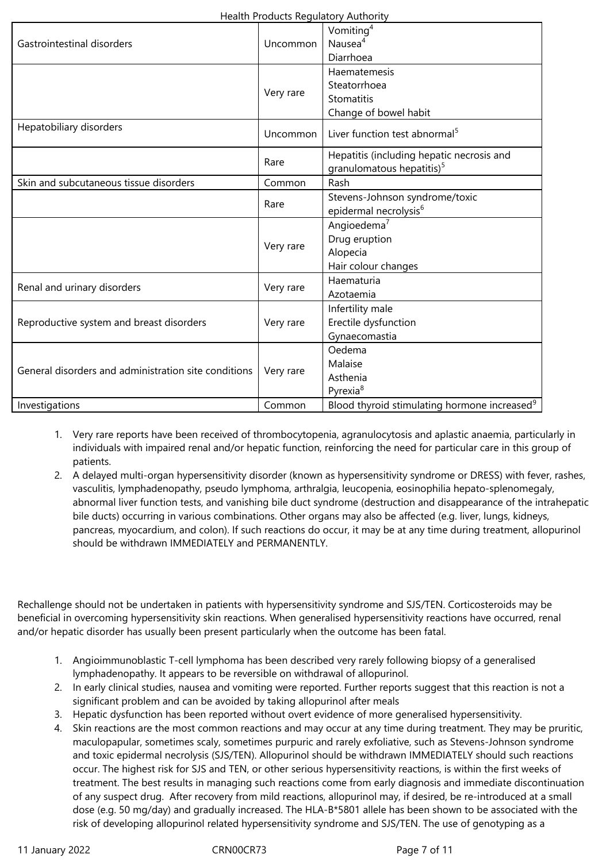| Gastrointestinal disorders                           | Uncommon            | Vomiting <sup>4</sup><br>Nausea <sup>4</sup><br>Diarrhoea                                                         |
|------------------------------------------------------|---------------------|-------------------------------------------------------------------------------------------------------------------|
|                                                      | Very rare           | Haematemesis<br>Steatorrhoea<br>Stomatitis<br>Change of bowel habit                                               |
| Hepatobiliary disorders                              | Uncommon            | Liver function test abnormal <sup>5</sup>                                                                         |
|                                                      | Rare                | Hepatitis (including hepatic necrosis and<br>granulomatous hepatitis) <sup>5</sup>                                |
| Skin and subcutaneous tissue disorders               | Common              | Rash                                                                                                              |
|                                                      | Rare                | Stevens-Johnson syndrome/toxic<br>epidermal necrolysis <sup>6</sup>                                               |
|                                                      | Very rare           | Angioedema <sup>7</sup><br>Drug eruption<br>Alopecia<br>Hair colour changes                                       |
| Renal and urinary disorders                          | Very rare           | Haematuria<br>Azotaemia                                                                                           |
| Reproductive system and breast disorders             | Very rare           | Infertility male<br>Erectile dysfunction<br>Gynaecomastia                                                         |
| General disorders and administration site conditions | Very rare<br>Common | Oedema<br>Malaise<br>Asthenia<br>Pyrexia <sup>8</sup><br>Blood thyroid stimulating hormone increased <sup>9</sup> |
| Investigations                                       |                     |                                                                                                                   |

- 1. Very rare reports have been received of thrombocytopenia, agranulocytosis and aplastic anaemia, particularly in individuals with impaired renal and/or hepatic function, reinforcing the need for particular care in this group of patients.
- 2. A delayed multi-organ hypersensitivity disorder (known as hypersensitivity syndrome or DRESS) with fever, rashes, vasculitis, lymphadenopathy, pseudo lymphoma, arthralgia, leucopenia, eosinophilia hepato-splenomegaly, abnormal liver function tests, and vanishing bile duct syndrome (destruction and disappearance of the intrahepatic bile ducts) occurring in various combinations. Other organs may also be affected (e.g. liver, lungs, kidneys, pancreas, myocardium, and colon). If such reactions do occur, it may be at any time during treatment, allopurinol should be withdrawn IMMEDIATELY and PERMANENTLY.

Rechallenge should not be undertaken in patients with hypersensitivity syndrome and SJS/TEN. Corticosteroids may be beneficial in overcoming hypersensitivity skin reactions. When generalised hypersensitivity reactions have occurred, renal and/or hepatic disorder has usually been present particularly when the outcome has been fatal.

- 1. Angioimmunoblastic T‑cell lymphoma has been described very rarely following biopsy of a generalised lymphadenopathy. It appears to be reversible on withdrawal of allopurinol.
- 2. In early clinical studies, nausea and vomiting were reported. Further reports suggest that this reaction is not a significant problem and can be avoided by taking allopurinol after meals
- 3. Hepatic dysfunction has been reported without overt evidence of more generalised hypersensitivity.
- 4. Skin reactions are the most common reactions and may occur at any time during treatment. They may be pruritic, maculopapular, sometimes scaly, sometimes purpuric and rarely exfoliative, such as Stevens-Johnson syndrome and toxic epidermal necrolysis (SJS/TEN). Allopurinol should be withdrawn IMMEDIATELY should such reactions occur. The highest risk for SJS and TEN, or other serious hypersensitivity reactions, is within the first weeks of treatment. The best results in managing such reactions come from early diagnosis and immediate discontinuation of any suspect drug. After recovery from mild reactions, allopurinol may, if desired, be re-introduced at a small dose (e.g. 50 mg/day) and gradually increased. The HLA-B\*5801 allele has been shown to be associated with the risk of developing allopurinol related hypersensitivity syndrome and SJS/TEN. The use of genotyping as a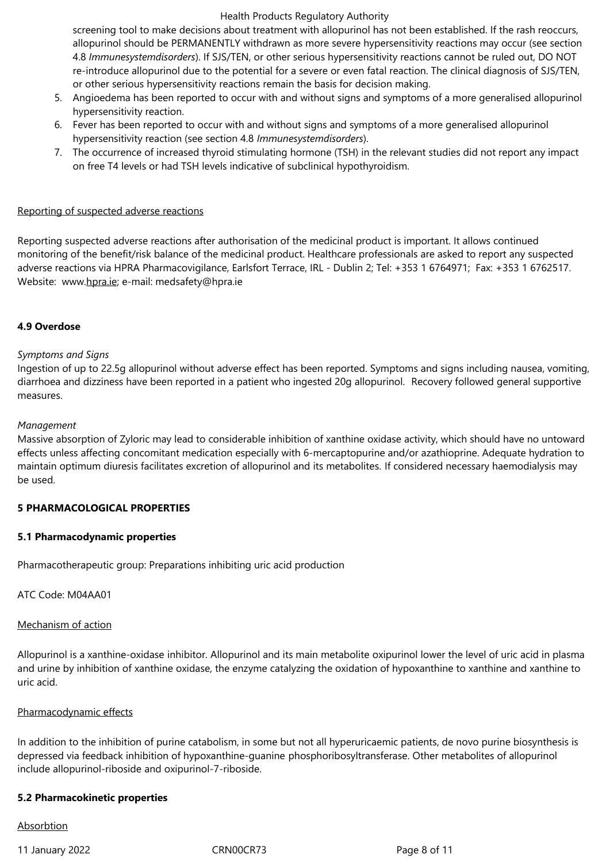screening tool to make decisions about treatment with allopurinol has not been established. If the rash reoccurs, allopurinol should be PERMANENTLY withdrawn as more severe hypersensitivity reactions may occur (see section 4.8 *Immunesystemdisorders*). If SJS/TEN, or other serious hypersensitivity reactions cannot be ruled out, DO NOT re-introduce allopurinol due to the potential for a severe or even fatal reaction. The clinical diagnosis of SJS/TEN, or other serious hypersensitivity reactions remain the basis for decision making.

- 5. Angioedema has been reported to occur with and without signs and symptoms of a more generalised allopurinol hypersensitivity reaction.
- 6. Fever has been reported to occur with and without signs and symptoms of a more generalised allopurinol hypersensitivity reaction (see section 4.8 *Immunesystemdisorders*).
- 7. The occurrence of increased thyroid stimulating hormone (TSH) in the relevant studies did not report any impact on free T4 levels or had TSH levels indicative of subclinical hypothyroidism.

#### Reporting of suspected adverse reactions

Reporting suspected adverse reactions after authorisation of the medicinal product is important. It allows continued monitoring of the benefit/risk balance of the medicinal product. Healthcare professionals are asked to report any suspected adverse reactions via HPRA Pharmacovigilance, Earlsfort Terrace, IRL - Dublin 2; Tel: +353 1 6764971; Fax: +353 1 6762517. Website: www.hpra.ie; e-mail: medsafety@hpra.ie

#### **4.9 Overdose**

#### *Symptoms and Signs*

Ingestion of up to 22.5g allopurinol without adverse effect has been reported. Symptoms and signs including nausea, vomiting, diarrhoea and dizziness have been reported in a patient who ingested 20g allopurinol. Recovery followed general supportive measures.

#### *Management*

Massive absorption of Zyloric may lead to considerable inhibition of xanthine oxidase activity, which should have no untoward effects unless affecting concomitant medication especially with 6-mercaptopurine and/or azathioprine. Adequate hydration to maintain optimum diuresis facilitates excretion of allopurinol and its metabolites. If considered necessary haemodialysis may be used.

#### **5 PHARMACOLOGICAL PROPERTIES**

#### **5.1 Pharmacodynamic properties**

Pharmacotherapeutic group: Preparations inhibiting uric acid production

ATC Code: M04AA01

#### Mechanism of action

Allopurinol is a xanthine-oxidase inhibitor. Allopurinol and its main metabolite oxipurinol lower the level of uric acid in plasma and urine by inhibition of xanthine oxidase, the enzyme catalyzing the oxidation of hypoxanthine to xanthine and xanthine to uric acid.

#### Pharmacodynamic effects

In addition to the inhibition of purine catabolism, in some but not all hyperuricaemic patients, de novo purine biosynthesis is depressed via feedback inhibition of hypoxanthine-guanine phosphoribosyltransferase. Other metabolites of allopurinol include allopurinol-riboside and oxipurinol-7-riboside.

#### **5.2 Pharmacokinetic properties**

#### Absorbtion

11 January 2022 CRN00CR73 Page 8 of 11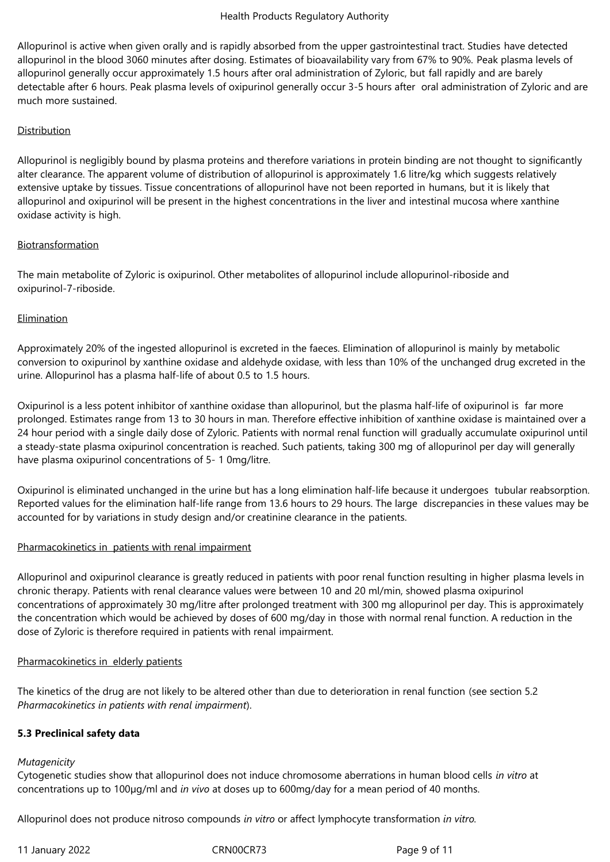Allopurinol is active when given orally and is rapidly absorbed from the upper gastrointestinal tract. Studies have detected allopurinol in the blood 3060 minutes after dosing. Estimates of bioavailability vary from 67% to 90%. Peak plasma levels of allopurinol generally occur approximately 1.5 hours after oral administration of Zyloric, but fall rapidly and are barely detectable after 6 hours. Peak plasma levels of oxipurinol generally occur 3‑5 hours after oral administration of Zyloric and are much more sustained.

# Distribution

Allopurinol is negligibly bound by plasma proteins and therefore variations in protein binding are not thought to significantly alter clearance. The apparent volume of distribution of allopurinol is approximately 1.6 litre/kg which suggests relatively extensive uptake by tissues. Tissue concentrations of allopurinol have not been reported in humans, but it is likely that allopurinol and oxipurinol will be present in the highest concentrations in the liver and intestinal mucosa where xanthine oxidase activity is high.

## Biotransformation

The main metabolite of Zyloric is oxipurinol. Other metabolites of allopurinol include allopurinol-riboside and oxipurinol-7-riboside.

## **Elimination**

Approximately 20% of the ingested allopurinol is excreted in the faeces. Elimination of allopurinol is mainly by metabolic conversion to oxipurinol by xanthine oxidase and aldehyde oxidase, with less than 10% of the unchanged drug excreted in the urine. Allopurinol has a plasma half-life of about 0.5 to 1.5 hours.

Oxipurinol is a less potent inhibitor of xanthine oxidase than allopurinol, but the plasma half‑life of oxipurinol is far more prolonged. Estimates range from 13 to 30 hours in man. Therefore effective inhibition of xanthine oxidase is maintained over a 24 hour period with a single daily dose of Zyloric. Patients with normal renal function will gradually accumulate oxipurinol until a steady-state plasma oxipurinol concentration is reached. Such patients, taking 300 mg of allopurinol per day will generally have plasma oxipurinol concentrations of 5-10mg/litre.

Oxipurinol is eliminated unchanged in the urine but has a long elimination half-life because it undergoes tubular reabsorption. Reported values for the elimination half-life range from 13.6 hours to 29 hours. The large discrepancies in these values may be accounted for by variations in study design and/or creatinine clearance in the patients.

#### Pharmacokinetics in patients with renal impairment

Allopurinol and oxipurinol clearance is greatly reduced in patients with poor renal function resulting in higher plasma levels in chronic therapy. Patients with renal clearance values were between 10 and 20 ml/min, showed plasma oxipurinol concentrations of approximately 30 mg/litre after prolonged treatment with 300 mg allopurinol per day. This is approximately the concentration which would be achieved by doses of 600 mg/day in those with normal renal function. A reduction in the dose of Zyloric is therefore required in patients with renal impairment.

#### Pharmacokinetics in elderly patients

The kinetics of the drug are not likely to be altered other than due to deterioration in renal function (see section 5.2 *Pharmacokinetics in patients with renal impairment*).

# **5.3 Preclinical safety data**

#### *Mutagenicity*

Cytogenetic studies show that allopurinol does not induce chromosome aberrations in human blood cells *in vitro* at concentrations up to 100µg/ml and *in vivo* at doses up to 600mg/day for a mean period of 40 months.

Allopurinol does not produce nitroso compounds *in vitro* or affect lymphocyte transformation *in vitro.*

11 January 2022 CRN00CR73 Page 9 of 11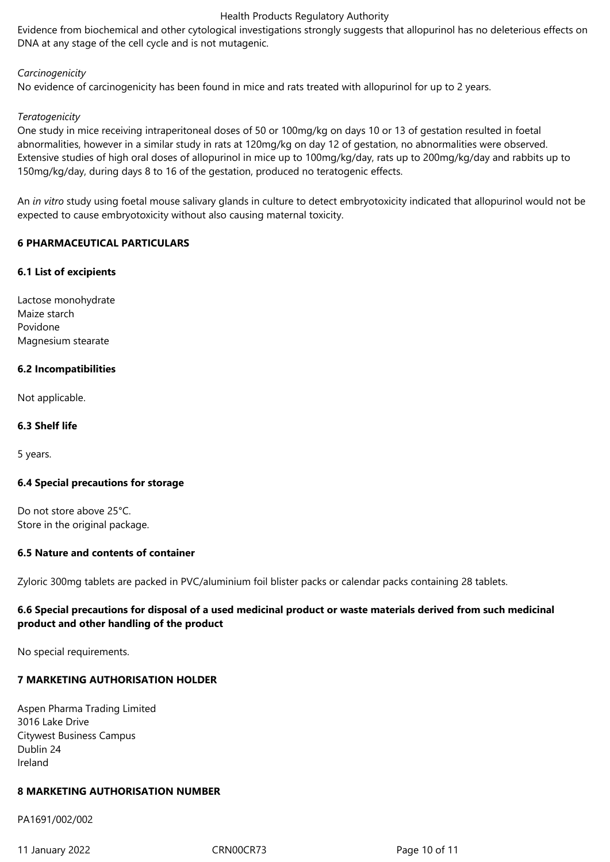Evidence from biochemical and other cytological investigations strongly suggests that allopurinol has no deleterious effects on DNA at any stage of the cell cycle and is not mutagenic.

#### *Carcinogenicity*

No evidence of carcinogenicity has been found in mice and rats treated with allopurinol for up to 2 years.

#### *Teratogenicity*

One study in mice receiving intraperitoneal doses of 50 or 100mg/kg on days 10 or 13 of gestation resulted in foetal abnormalities, however in a similar study in rats at 120mg/kg on day 12 of gestation, no abnormalities were observed. Extensive studies of high oral doses of allopurinol in mice up to 100mg/kg/day, rats up to 200mg/kg/day and rabbits up to 150mg/kg/day, during days 8 to 16 of the gestation, produced no teratogenic effects.

An *in vitro* study using foetal mouse salivary glands in culture to detect embryotoxicity indicated that allopurinol would not be expected to cause embryotoxicity without also causing maternal toxicity.

## **6 PHARMACEUTICAL PARTICULARS**

#### **6.1 List of excipients**

Lactose monohydrate Maize starch Povidone Magnesium stearate

## **6.2 Incompatibilities**

Not applicable.

#### **6.3 Shelf life**

5 years.

#### **6.4 Special precautions for storage**

Do not store above 25°C. Store in the original package.

#### **6.5 Nature and contents of container**

Zyloric 300mg tablets are packed in PVC/aluminium foil blister packs or calendar packs containing 28 tablets.

# **6.6 Special precautions for disposal of a used medicinal product or waste materials derived from such medicinal product and other handling of the product**

No special requirements.

# **7 MARKETING AUTHORISATION HOLDER**

Aspen Pharma Trading Limited 3016 Lake Drive Citywest Business Campus Dublin 24 Ireland

# **8 MARKETING AUTHORISATION NUMBER**

PA1691/002/002

11 January 2022 CRN00CR73 Page 10 of 11